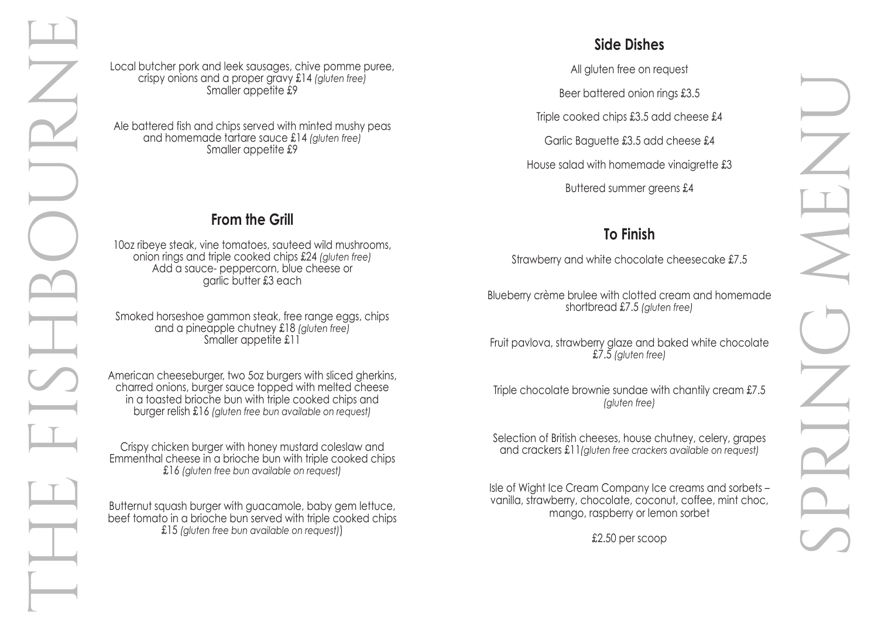Local butcher pork and leek sausages, chive pomme puree, crispy onions and a proper gravy £14 *(gluten free)* Smaller appetite £9

Ale battered fish and chips served with minted mushy peas and homemade tartare sauce £14 *(gluten free)* Smaller appetite £9

Smoked horseshoe gammon steak, free range eggs, chips and a pineapple chutney £18 *(gluten free)* Smaller appetite £11

## **From the Grill**

10oz ribeye steak, vine tomatoes, sauteed wild mushrooms, onion rings and triple cooked chips £24 *(gluten free)* Add a sauce- peppercorn, blue cheese or garlic butter £3 each

American cheeseburger, two 5oz burgers with sliced gherkins, charred onions, burger sauce topped with melted cheese in a toasted brioche bun with triple cooked chips and burger relish £16 *(gluten free bun available on request)*

Crispy chicken burger with honey mustard coleslaw and Emmenthal cheese in a brioche bun with triple cooked chips £16 *(gluten free bun available on request)*

Butternut squash burger with guacamole, baby gem lettuce, beef tomato in a brioche bun served with triple cooked chips £15 *(gluten free bun available on request)*)

# **Side Dishes**

All gluten free on request

Beer battered onion rings £3.5

Triple cooked chips £3.5 add cheese £4

Garlic Baguette £3.5 add cheese £4

House salad with homemade vinaigrette £3

Buttered summer greens £4

## **To Finish**

Strawberry and white chocolate cheesecake £7.5

Blueberry crème brulee with clotted cream and homemade shortbread £7.5 *(gluten free)*

Fruit pavlova, strawberry glaze and baked white chocolate £7.5 *(gluten free)*

Triple chocolate brownie sundae with chantily cream £7.5 *(gluten free)*

Selection of British cheeses, house chutney, celery, grapes and crackers £11*(gluten free crackers available on request)*

Isle of Wight Ice Cream Company Ice creams and sorbets – vanilla, strawberry, chocolate, coconut, coffee, mint choc, mango, raspberry or lemon sorbet

£2.50 per scoop

- 
- 
- 
- 
- 
- 

- 
- 
- 
- 
- 
- 

SPRING MENU